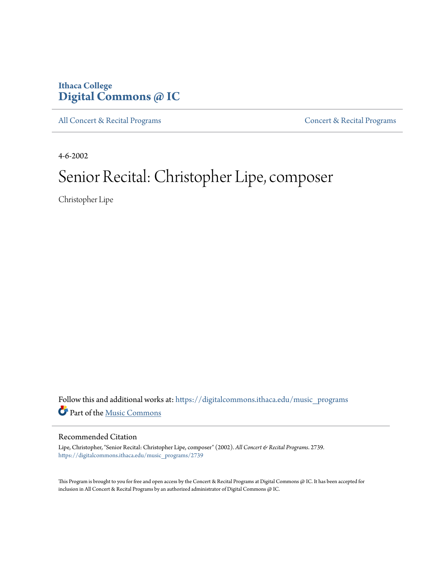## **Ithaca College [Digital Commons @ IC](https://digitalcommons.ithaca.edu?utm_source=digitalcommons.ithaca.edu%2Fmusic_programs%2F2739&utm_medium=PDF&utm_campaign=PDFCoverPages)**

[All Concert & Recital Programs](https://digitalcommons.ithaca.edu/music_programs?utm_source=digitalcommons.ithaca.edu%2Fmusic_programs%2F2739&utm_medium=PDF&utm_campaign=PDFCoverPages) **[Concert & Recital Programs](https://digitalcommons.ithaca.edu/som_programs?utm_source=digitalcommons.ithaca.edu%2Fmusic_programs%2F2739&utm_medium=PDF&utm_campaign=PDFCoverPages)** 

4-6-2002

# Senior Recital: Christopher Lipe, composer

Christopher Lipe

Follow this and additional works at: [https://digitalcommons.ithaca.edu/music\\_programs](https://digitalcommons.ithaca.edu/music_programs?utm_source=digitalcommons.ithaca.edu%2Fmusic_programs%2F2739&utm_medium=PDF&utm_campaign=PDFCoverPages) Part of the [Music Commons](http://network.bepress.com/hgg/discipline/518?utm_source=digitalcommons.ithaca.edu%2Fmusic_programs%2F2739&utm_medium=PDF&utm_campaign=PDFCoverPages)

#### Recommended Citation

Lipe, Christopher, "Senior Recital: Christopher Lipe, composer" (2002). *All Concert & Recital Programs*. 2739. [https://digitalcommons.ithaca.edu/music\\_programs/2739](https://digitalcommons.ithaca.edu/music_programs/2739?utm_source=digitalcommons.ithaca.edu%2Fmusic_programs%2F2739&utm_medium=PDF&utm_campaign=PDFCoverPages)

This Program is brought to you for free and open access by the Concert & Recital Programs at Digital Commons @ IC. It has been accepted for inclusion in All Concert & Recital Programs by an authorized administrator of Digital Commons @ IC.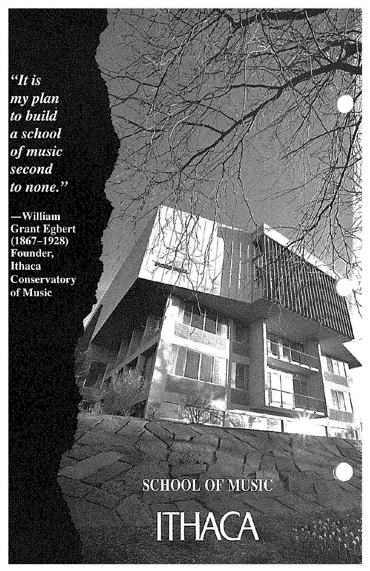$\mathcal{L}$  is my plan to build a school of music second to none."

-William **Grant Egbert**  $(1867 - 1928)$ Founder, **Ithaca Conservatory** of Music

**SCHOOL OF MUSIC** 

K.

45

L.

ITHACA